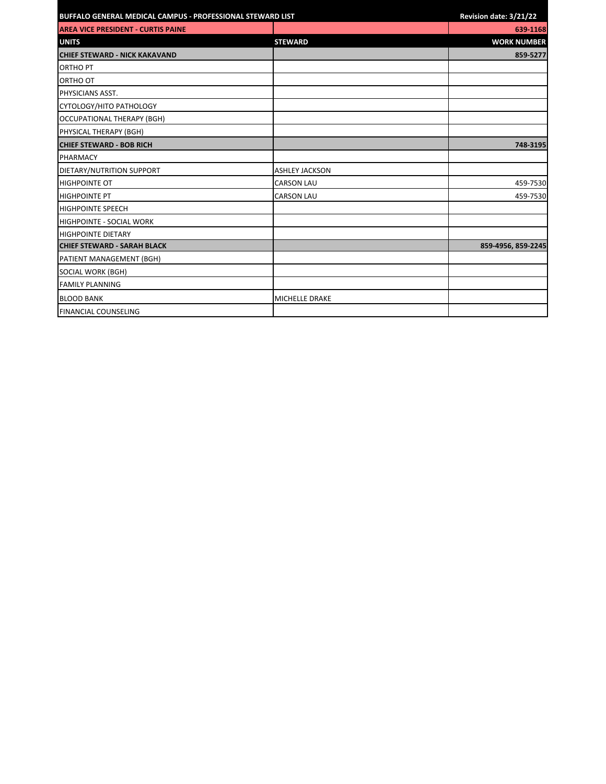| BUFFALO GENERAL MEDICAL CAMPUS - PROFESSIONAL STEWARD LIST |                       | Revision date: 3/21/22 |
|------------------------------------------------------------|-----------------------|------------------------|
| <b>AREA VICE PRESIDENT - CURTIS PAINE</b>                  |                       | 639-1168               |
| <b>UNITS</b>                                               | <b>STEWARD</b>        | <b>WORK NUMBER</b>     |
| <b>CHIEF STEWARD - NICK KAKAVAND</b>                       |                       | 859-5277               |
| <b>ORTHO PT</b>                                            |                       |                        |
| ORTHO OT                                                   |                       |                        |
| PHYSICIANS ASST.                                           |                       |                        |
| CYTOLOGY/HITO PATHOLOGY                                    |                       |                        |
| OCCUPATIONAL THERAPY (BGH)                                 |                       |                        |
| PHYSICAL THERAPY (BGH)                                     |                       |                        |
| <b>CHIEF STEWARD - BOB RICH</b>                            |                       | 748-3195               |
| <b>PHARMACY</b>                                            |                       |                        |
| DIETARY/NUTRITION SUPPORT                                  | <b>ASHLEY JACKSON</b> |                        |
| <b>HIGHPOINTE OT</b>                                       | <b>CARSON LAU</b>     | 459-7530               |
| <b>HIGHPOINTE PT</b>                                       | <b>CARSON LAU</b>     | 459-7530               |
| <b>HIGHPOINTE SPEECH</b>                                   |                       |                        |
| <b>HIGHPOINTE - SOCIAL WORK</b>                            |                       |                        |
| <b>HIGHPOINTE DIETARY</b>                                  |                       |                        |
| <b>CHIEF STEWARD - SARAH BLACK</b>                         |                       | 859-4956, 859-2245     |
| PATIENT MANAGEMENT (BGH)                                   |                       |                        |
| SOCIAL WORK (BGH)                                          |                       |                        |
| <b>FAMILY PLANNING</b>                                     |                       |                        |
| <b>BLOOD BANK</b>                                          | MICHELLE DRAKE        |                        |
| <b>FINANCIAL COUNSELING</b>                                |                       |                        |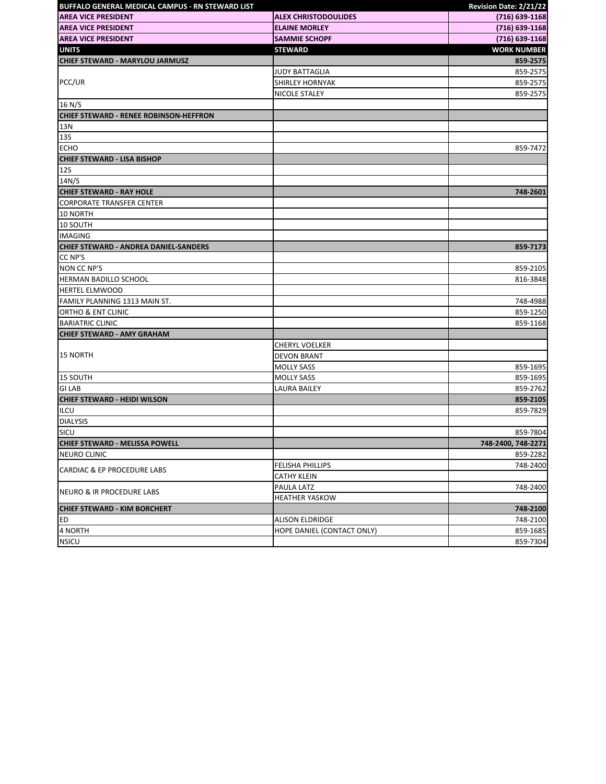| BUFFALO GENERAL MEDICAL CAMPUS - RN STEWARD LIST |                             | Revision Date: 2/21/22 |
|--------------------------------------------------|-----------------------------|------------------------|
| <b>AREA VICE PRESIDENT</b>                       | <b>ALEX CHRISTODOULIDES</b> | (716) 639-1168         |
| <b>AREA VICE PRESIDENT</b>                       | <b>ELAINE MORLEY</b>        | (716) 639-1168         |
| <b>AREA VICE PRESIDENT</b>                       | <b>SAMMIE SCHOPF</b>        | (716) 639-1168         |
| <b>UNITS</b>                                     | <b>STEWARD</b>              | <b>WORK NUMBER</b>     |
| <b>CHIEF STEWARD - MARYLOU JARMUSZ</b>           |                             | 859-2575               |
|                                                  | <b>JUDY BATTAGLIA</b>       | 859-2575               |
| PCC/UR                                           | <b>SHIRLEY HORNYAK</b>      | 859-2575               |
|                                                  | NICOLE STALEY               | 859-2575               |
| 16 N/S                                           |                             |                        |
| <b>CHIEF STEWARD - RENEE ROBINSON-HEFFRON</b>    |                             |                        |
| 13N                                              |                             |                        |
| <b>13S</b>                                       |                             |                        |
| <b>ECHO</b>                                      |                             | 859-7472               |
| <b>CHIEF STEWARD - LISA BISHOP</b>               |                             |                        |
| <b>12S</b>                                       |                             |                        |
| 14N/S                                            |                             |                        |
| <b>CHIEF STEWARD - RAY HOLE</b>                  |                             | 748-2601               |
| <b>CORPORATE TRANSFER CENTER</b>                 |                             |                        |
| 10 NORTH                                         |                             |                        |
| 10 SOUTH                                         |                             |                        |
| <b>IMAGING</b>                                   |                             |                        |
| CHIEF STEWARD - ANDREA DANIEL-SANDERS            |                             | 859-7173               |
| CC NP'S                                          |                             |                        |
| <b>NON CC NP'S</b>                               |                             | 859-2105               |
| HERMAN BADILLO SCHOOL                            |                             | 816-3848               |
| <b>HERTEL ELMWOOD</b>                            |                             |                        |
| FAMILY PLANNING 1313 MAIN ST.                    |                             | 748-4988               |
| ORTHO & ENT CLINIC                               |                             | 859-1250               |
| <b>BARIATRIC CLINIC</b>                          |                             | 859-1168               |
| <b>CHIEF STEWARD - AMY GRAHAM</b>                |                             |                        |
|                                                  | <b>CHERYL VOELKER</b>       |                        |
| <b>15 NORTH</b>                                  | <b>DEVON BRANT</b>          |                        |
|                                                  | <b>MOLLY SASS</b>           | 859-1695               |
| 15 SOUTH                                         | <b>MOLLY SASS</b>           | 859-1695               |
| <b>GILAB</b>                                     | <b>LAURA BAILEY</b>         | 859-2762               |
| <b>CHIEF STEWARD - HEIDI WILSON</b>              |                             | 859-2105               |
| <b>ILCU</b>                                      |                             | 859-7829               |
| <b>DIALYSIS</b>                                  |                             |                        |
| SICU                                             |                             | 859-7804               |
| <b>CHIEF STEWARD - MELISSA POWELL</b>            |                             | 748-2400, 748-2271     |
| <b>NEURO CLINIC</b>                              |                             | 859-2282               |
| <b>CARDIAC &amp; EP PROCEDURE LABS</b>           | FELISHA PHILLIPS            | 748-2400               |
|                                                  | <b>CATHY KLEIN</b>          |                        |
| NEURO & IR PROCEDURE LABS                        | PAULA LATZ                  | 748-2400               |
|                                                  | <b>HEATHER YASKOW</b>       |                        |
| <b>CHIEF STEWARD - KIM BORCHERT</b>              |                             | 748-2100               |
| ED                                               | <b>ALISON ELDRIDGE</b>      | 748-2100               |
| 4 NORTH                                          | HOPE DANIEL (CONTACT ONLY)  | 859-1685               |
| <b>NSICU</b>                                     |                             | 859-7304               |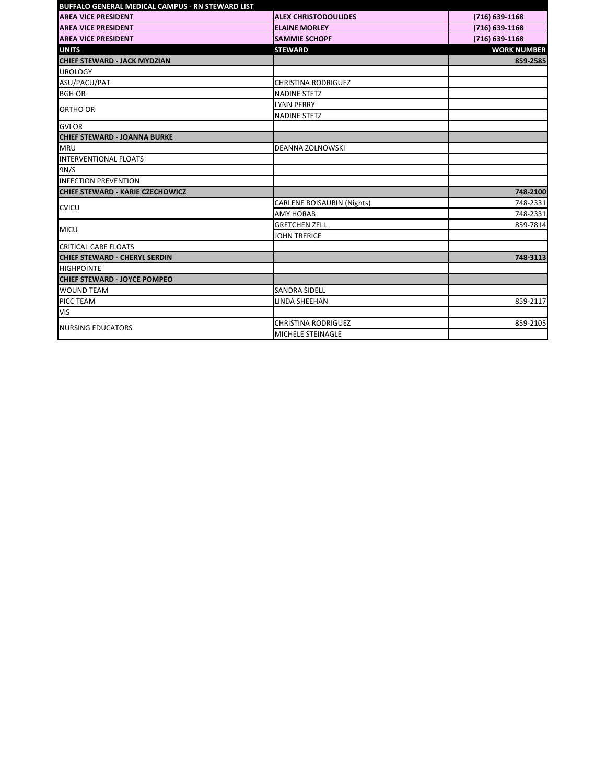| <b>BUFFALO GENERAL MEDICAL CAMPUS - RN STEWARD LIST</b> |                                   |                    |
|---------------------------------------------------------|-----------------------------------|--------------------|
| <b>AREA VICE PRESIDENT</b>                              | <b>ALEX CHRISTODOULIDES</b>       | (716) 639-1168     |
| <b>AREA VICE PRESIDENT</b>                              | <b>ELAINE MORLEY</b>              | (716) 639-1168     |
| <b>AREA VICE PRESIDENT</b>                              | <b>SAMMIE SCHOPF</b>              | (716) 639-1168     |
| <b>UNITS</b>                                            | <b>STEWARD</b>                    | <b>WORK NUMBER</b> |
| <b>CHIEF STEWARD - JACK MYDZIAN</b>                     |                                   | 859-2585           |
| <b>UROLOGY</b>                                          |                                   |                    |
| ASU/PACU/PAT                                            | <b>CHRISTINA RODRIGUEZ</b>        |                    |
| <b>BGH OR</b>                                           | <b>NADINE STETZ</b>               |                    |
| ORTHO OR                                                | <b>LYNN PERRY</b>                 |                    |
|                                                         | <b>NADINE STETZ</b>               |                    |
| <b>GVI OR</b>                                           |                                   |                    |
| <b>CHIEF STEWARD - JOANNA BURKE</b>                     |                                   |                    |
| <b>MRU</b>                                              | DEANNA ZOLNOWSKI                  |                    |
| INTERVENTIONAL FLOATS                                   |                                   |                    |
| 9N/S                                                    |                                   |                    |
| <b>INFECTION PREVENTION</b>                             |                                   |                    |
| <b>CHIEF STEWARD - KARIE CZECHOWICZ</b>                 |                                   | 748-2100           |
| <b>CVICU</b>                                            | <b>CARLENE BOISAUBIN (Nights)</b> | 748-2331           |
|                                                         | <b>AMY HORAB</b>                  | 748-2331           |
| <b>MICU</b>                                             | <b>GRETCHEN ZELL</b>              | 859-7814           |
|                                                         | <b>JOHN TRERICE</b>               |                    |
| <b>CRITICAL CARE FLOATS</b>                             |                                   |                    |
| <b>CHIEF STEWARD - CHERYL SERDIN</b>                    |                                   | 748-3113           |
| <b>HIGHPOINTE</b>                                       |                                   |                    |
| <b>CHIEF STEWARD - JOYCE POMPEO</b>                     |                                   |                    |
| <b>WOUND TEAM</b>                                       | <b>SANDRA SIDELL</b>              |                    |
| PICC TEAM                                               | <b>LINDA SHEEHAN</b>              | 859-2117           |
| <b>VIS</b>                                              |                                   |                    |
| <b>NURSING EDUCATORS</b>                                | <b>CHRISTINA RODRIGUEZ</b>        | 859-2105           |
|                                                         | MICHELE STEINAGLE                 |                    |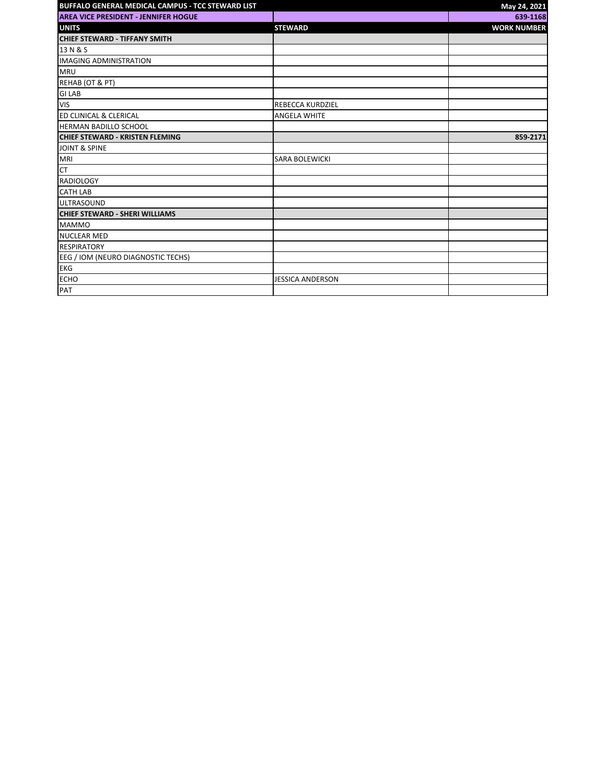| BUFFALO GENERAL MEDICAL CAMPUS - TCC STEWARD LIST |                         | May 24, 2021       |
|---------------------------------------------------|-------------------------|--------------------|
| <b>AREA VICE PRESIDENT - JENNIFER HOGUE</b>       |                         | 639-1168           |
| <b>UNITS</b>                                      | <b>STEWARD</b>          | <b>WORK NUMBER</b> |
| <b>CHIEF STEWARD - TIFFANY SMITH</b>              |                         |                    |
| 13 N & S                                          |                         |                    |
| <b>IMAGING ADMINISTRATION</b>                     |                         |                    |
| <b>MRU</b>                                        |                         |                    |
| REHAB (OT & PT)                                   |                         |                    |
| <b>GILAB</b>                                      |                         |                    |
| <b>VIS</b>                                        | <b>REBECCA KURDZIEL</b> |                    |
| ED CLINICAL & CLERICAL                            | <b>ANGELA WHITE</b>     |                    |
| <b>HERMAN BADILLO SCHOOL</b>                      |                         |                    |
| <b>CHIEF STEWARD - KRISTEN FLEMING</b>            |                         | 859-2171           |
| <b>JOINT &amp; SPINE</b>                          |                         |                    |
| MRI                                               | <b>SARA BOLEWICKI</b>   |                    |
| <b>CT</b>                                         |                         |                    |
| <b>RADIOLOGY</b>                                  |                         |                    |
| <b>CATH LAB</b>                                   |                         |                    |
| <b>ULTRASOUND</b>                                 |                         |                    |
| <b>CHIEF STEWARD - SHERI WILLIAMS</b>             |                         |                    |
| <b>MAMMO</b>                                      |                         |                    |
| <b>NUCLEAR MED</b>                                |                         |                    |
| <b>RESPIRATORY</b>                                |                         |                    |
| EEG / IOM (NEURO DIAGNOSTIC TECHS)                |                         |                    |
| <b>EKG</b>                                        |                         |                    |
| <b>ECHO</b>                                       | <b>JESSICA ANDERSON</b> |                    |
| PAT                                               |                         |                    |